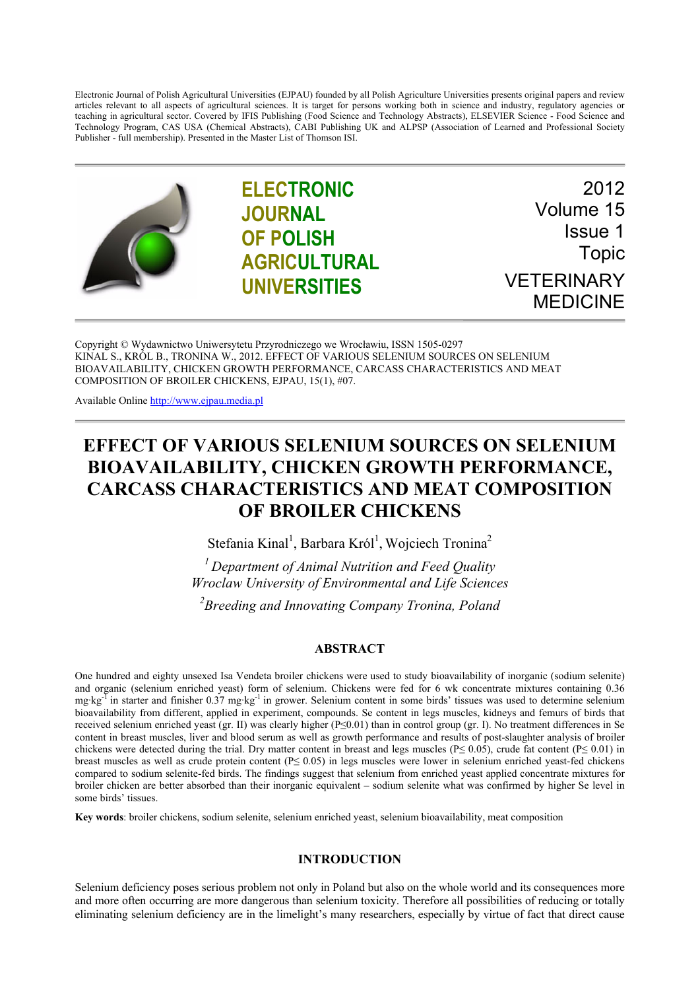Electronic Journal of Polish Agricultural Universities (EJPAU) founded by all Polish Agriculture Universities presents original papers and review articles relevant to all aspects of agricultural sciences. It is target for persons working both in science and industry, regulatory agencies or teaching in agricultural sector. Covered by IFIS Publishing (Food Science and Technology Abstracts), ELSEVIER Science - Food Science and Technology Program, CAS USA (Chemical Abstracts), CABI Publishing UK and ALPSP (Association of Learned and Professional Society Publisher - full membership). Presented in the Master List of Thomson ISI.



**ELECTRONIC JOURNAL OF POLISH AGRICULTURAL UNIVERSITIES**

2012 Volume 15 Issue 1 Topic VETERINARY MEDICINE

Copyright © Wydawnictwo Uniwersytetu Przyrodniczego we Wrocławiu, ISSN 1505-0297 KINAL S., KRÓL B., TRONINA W., 2012. EFFECT OF VARIOUS SELENIUM SOURCES ON SELENIUM BIOAVAILABILITY, CHICKEN GROWTH PERFORMANCE, CARCASS CHARACTERISTICS AND MEAT COMPOSITION OF BROILER CHICKENS, EJPAU, 15(1), #07.

Available Online http://www.ejpau.media.pl

# **EFFECT OF VARIOUS SELENIUM SOURCES ON SELENIUM BIOAVAILABILITY, CHICKEN GROWTH PERFORMANCE, CARCASS CHARACTERISTICS AND MEAT COMPOSITION OF BROILER CHICKENS**

Stefania Kinal<sup>1</sup>, Barbara Król<sup>1</sup>, Wojciech Tronina<sup>2</sup>

*1 Department of Animal Nutrition and Feed Quality Wroclaw University of Environmental and Life Sciences 2 Breeding and Innovating Company Tronina, Poland* 

## **ABSTRACT**

One hundred and eighty unsexed Isa Vendeta broiler chickens were used to study bioavailability of inorganic (sodium selenite) and organic (selenium enriched yeast) form of selenium. Chickens were fed for 6 wk concentrate mixtures containing 0.36 mg·kg<sup>-T</sup> in starter and finisher 0.37 mg·kg<sup>-1</sup> in grower. Selenium content in some birds' tissues was used to determine selenium bioavailability from different, applied in experiment, compounds. Se content in legs muscles, kidneys and femurs of birds that received selenium enriched yeast (gr. II) was clearly higher (P≤0.01) than in control group (gr. I). No treatment differences in Se content in breast muscles, liver and blood serum as well as growth performance and results of post-slaughter analysis of broiler chickens were detected during the trial. Dry matter content in breast and legs muscles ( $P \le 0.05$ ), crude fat content ( $P \le 0.01$ ) in breast muscles as well as crude protein content (P≤ 0.05) in legs muscles were lower in selenium enriched yeast-fed chickens compared to sodium selenite-fed birds. The findings suggest that selenium from enriched yeast applied concentrate mixtures for broiler chicken are better absorbed than their inorganic equivalent – sodium selenite what was confirmed by higher Se level in some birds' tissues.

**Key words**: broiler chickens, sodium selenite, selenium enriched yeast, selenium bioavailability, meat composition

## **INTRODUCTION**

Selenium deficiency poses serious problem not only in Poland but also on the whole world and its consequences more and more often occurring are more dangerous than selenium toxicity. Therefore all possibilities of reducing or totally eliminating selenium deficiency are in the limelight's many researchers, especially by virtue of fact that direct cause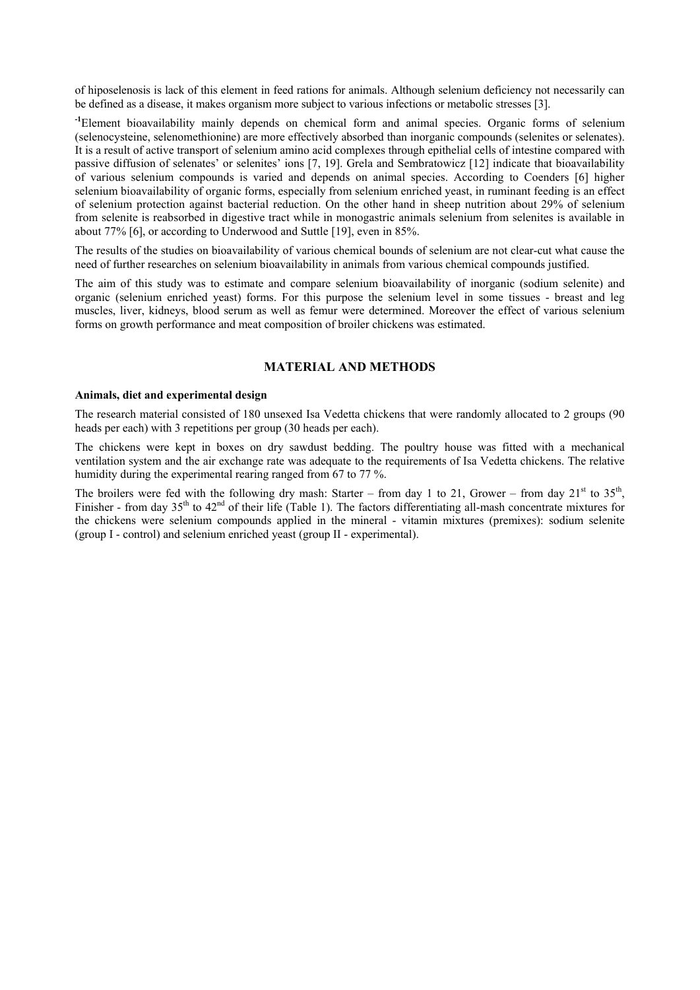of hiposelenosis is lack of this element in feed rations for animals. Although selenium deficiency not necessarily can be defined as a disease, it makes organism more subject to various infections or metabolic stresses [3].

**-1**Element bioavailability mainly depends on chemical form and animal species. Organic forms of selenium (selenocysteine, selenomethionine) are more effectively absorbed than inorganic compounds (selenites or selenates). It is a result of active transport of selenium amino acid complexes through epithelial cells of intestine compared with passive diffusion of selenates' or selenites' ions [7, 19]. Grela and Sembratowicz [12] indicate that bioavailability of various selenium compounds is varied and depends on animal species. According to Coenders [6] higher selenium bioavailability of organic forms, especially from selenium enriched yeast, in ruminant feeding is an effect of selenium protection against bacterial reduction. On the other hand in sheep nutrition about 29% of selenium from selenite is reabsorbed in digestive tract while in monogastric animals selenium from selenites is available in about 77% [6], or according to Underwood and Suttle [19], even in 85%.

The results of the studies on bioavailability of various chemical bounds of selenium are not clear-cut what cause the need of further researches on selenium bioavailability in animals from various chemical compounds justified.

The aim of this study was to estimate and compare selenium bioavailability of inorganic (sodium selenite) and organic (selenium enriched yeast) forms. For this purpose the selenium level in some tissues - breast and leg muscles, liver, kidneys, blood serum as well as femur were determined. Moreover the effect of various selenium forms on growth performance and meat composition of broiler chickens was estimated.

## **MATERIAL AND METHODS**

#### **Animals, diet and experimental design**

The research material consisted of 180 unsexed Isa Vedetta chickens that were randomly allocated to 2 groups (90 heads per each) with 3 repetitions per group (30 heads per each).

The chickens were kept in boxes on dry sawdust bedding. The poultry house was fitted with a mechanical ventilation system and the air exchange rate was adequate to the requirements of Isa Vedetta chickens. The relative humidity during the experimental rearing ranged from 67 to 77 %.

The broilers were fed with the following dry mash: Starter – from day 1 to 21, Grower – from day  $21<sup>st</sup>$  to  $35<sup>th</sup>$ , Finisher - from day  $35<sup>th</sup>$  to  $42<sup>nd</sup>$  of their life (Table 1). The factors differentiating all-mash concentrate mixtures for the chickens were selenium compounds applied in the mineral - vitamin mixtures (premixes): sodium selenite (group I - control) and selenium enriched yeast (group II - experimental).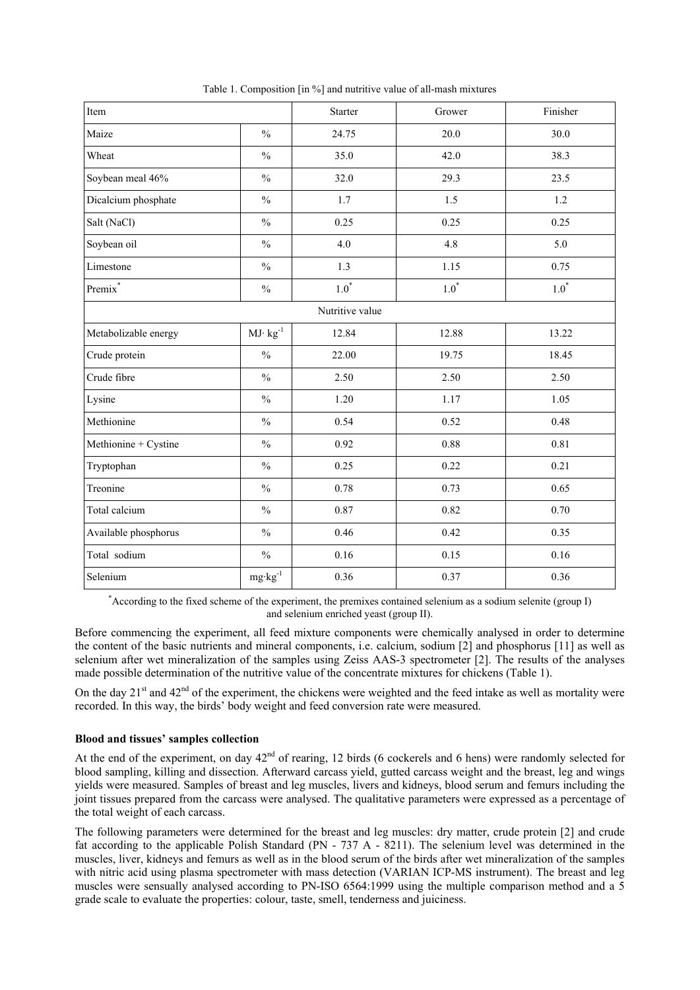| Item                 |                    | Starter | Grower     | Finisher |  |
|----------------------|--------------------|---------|------------|----------|--|
| Maize                | $\frac{0}{0}$      | 24.75   | 20.0       | 30.0     |  |
| Wheat                | $\frac{0}{0}$      | 35.0    | 42.0       | 38.3     |  |
| Soybean meal 46%     | $\frac{0}{0}$      | 32.0    | 29.3       | 23.5     |  |
| Dicalcium phosphate  | $\frac{0}{0}$      | 1.7     | 1.5        | 1.2      |  |
| Salt (NaCl)          | $\frac{0}{0}$      | 0.25    | 0.25       | 0.25     |  |
| Soybean oil          | $\frac{0}{0}$      | 4.0     | 4.8        | 5.0      |  |
| Limestone            | $\frac{0}{0}$      | 1.3     | 1.15       | 0.75     |  |
| Premix <sup>*</sup>  | $\frac{0}{0}$      | $1.0^*$ | $1.0^\ast$ | $1.0^*$  |  |
| Nutritive value      |                    |         |            |          |  |
| Metabolizable energy | $MJ\cdot kg^{-1}$  | 12.84   | 12.88      | 13.22    |  |
| Crude protein        | $\frac{0}{0}$      | 22.00   | 19.75      | 18.45    |  |
| Crude fibre          | $\frac{0}{0}$      | 2.50    | 2.50       | 2.50     |  |
| Lysine               | $\frac{0}{0}$      | 1.20    | 1.17       | 1.05     |  |
| Methionine           | $\%$               | 0.54    | 0.52       | 0.48     |  |
| Methionine + Cystine | $\frac{0}{0}$      | 0.92    | 0.88       | 0.81     |  |
| Tryptophan           | $\frac{0}{0}$      | 0.25    | 0.22       | 0.21     |  |
| Treonine             | $\frac{0}{0}$      | 0.78    | 0.73       | 0.65     |  |
| Total calcium        | $\frac{0}{0}$      | 0.87    | 0.82       | 0.70     |  |
| Available phosphorus | $\frac{0}{0}$      | 0.46    | 0.42       | 0.35     |  |
| Total sodium         | $\%$               | 0.16    | 0.15       | 0.16     |  |
| Selenium             | $mg \cdot kg^{-1}$ | 0.36    | 0.37       | 0.36     |  |

Table 1. Composition [in %] and nutritive value of all-mash mixtures

\* According to the fixed scheme of the experiment, the premixes contained selenium as a sodium selenite (group I) and selenium enriched yeast (group II).

Before commencing the experiment, all feed mixture components were chemically analysed in order to determine the content of the basic nutrients and mineral components, i.e. calcium, sodium [2] and phosphorus [11] as well as selenium after wet mineralization of the samples using Zeiss AAS-3 spectrometer [2]. The results of the analyses made possible determination of the nutritive value of the concentrate mixtures for chickens (Table 1).

On the day  $21<sup>st</sup>$  and  $42<sup>nd</sup>$  of the experiment, the chickens were weighted and the feed intake as well as mortality were recorded. In this way, the birds' body weight and feed conversion rate were measured.

### **Blood and tissues' samples collection**

At the end of the experiment, on day  $42<sup>nd</sup>$  of rearing, 12 birds (6 cockerels and 6 hens) were randomly selected for blood sampling, killing and dissection. Afterward carcass yield, gutted carcass weight and the breast, leg and wings yields were measured. Samples of breast and leg muscles, livers and kidneys, blood serum and femurs including the joint tissues prepared from the carcass were analysed. The qualitative parameters were expressed as a percentage of the total weight of each carcass.

The following parameters were determined for the breast and leg muscles: dry matter, crude protein [2] and crude fat according to the applicable Polish Standard (PN - 737 A - 8211). The selenium level was determined in the muscles, liver, kidneys and femurs as well as in the blood serum of the birds after wet mineralization of the samples with nitric acid using plasma spectrometer with mass detection (VARIAN ICP-MS instrument). The breast and leg muscles were sensually analysed according to PN-ISO 6564:1999 using the multiple comparison method and a 5 grade scale to evaluate the properties: colour, taste, smell, tenderness and juiciness.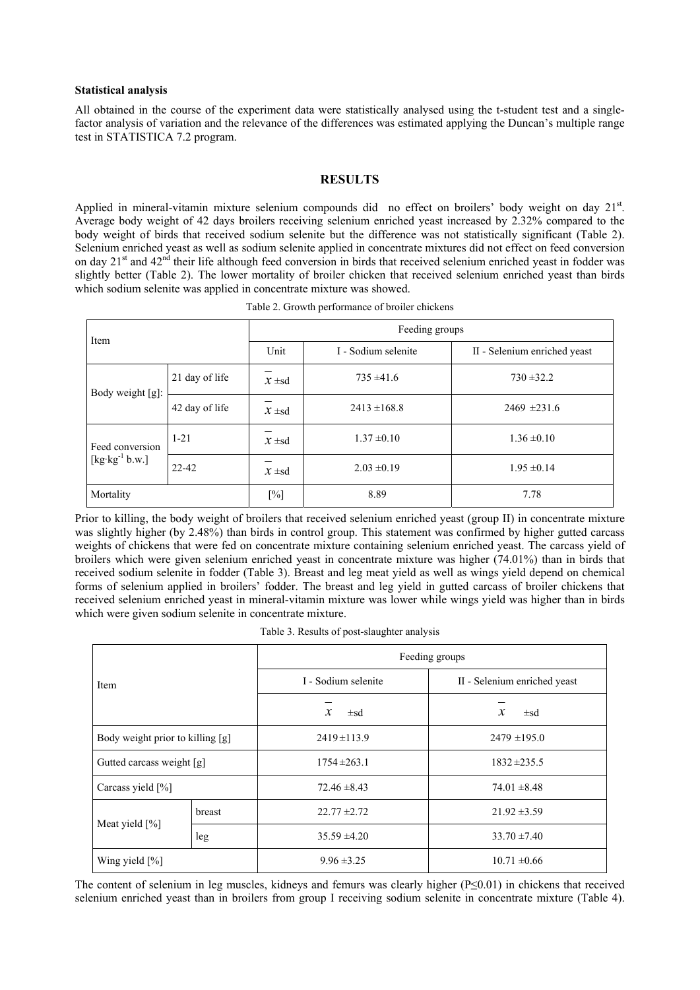#### **Statistical analysis**

All obtained in the course of the experiment data were statistically analysed using the t-student test and a singlefactor analysis of variation and the relevance of the differences was estimated applying the Duncan's multiple range test in STATISTICA 7.2 program.

## **RESULTS**

Applied in mineral-vitamin mixture selenium compounds did no effect on broilers' body weight on day 21st. Average body weight of 42 days broilers receiving selenium enriched yeast increased by 2.32% compared to the body weight of birds that received sodium selenite but the difference was not statistically significant (Table 2). Selenium enriched yeast as well as sodium selenite applied in concentrate mixtures did not effect on feed conversion on day  $21<sup>st</sup>$  and  $42<sup>nd</sup>$  their life although feed conversion in birds that received selenium enriched yeast in fodder was slightly better (Table 2). The lower mortality of broiler chicken that received selenium enriched yeast than birds which sodium selenite was applied in concentrate mixture was showed.

| Table 2. Growth performance of broiler chickens |
|-------------------------------------------------|
|-------------------------------------------------|

| Item                                                         |                | Feeding groups |                     |                              |
|--------------------------------------------------------------|----------------|----------------|---------------------|------------------------------|
|                                                              |                | Unit           | I - Sodium selenite | II - Selenium enriched yeast |
| Body weight [g]:                                             | 21 day of life | $x \pm sd$     | $735 \pm 41.6$      | $730 \pm 32.2$               |
|                                                              | 42 day of life | $x \pm sd$     | $2413 \pm 168.8$    | $2469 \pm 231.6$             |
| Feed conversion                                              | $1 - 21$       | $x \pm sd$     | $1.37 \pm 0.10$     | $1.36 \pm 0.10$              |
| $[\text{kg} \cdot \text{kg}^{-1} \text{b} \cdot \text{w}$ .] | 22-42          | $x \pm sd$     | $2.03 \pm 0.19$     | $1.95 \pm 0.14$              |
| Mortality                                                    |                | $[\%]$         | 8.89                | 7.78                         |

Prior to killing, the body weight of broilers that received selenium enriched yeast (group II) in concentrate mixture was slightly higher (by 2.48%) than birds in control group. This statement was confirmed by higher gutted carcass weights of chickens that were fed on concentrate mixture containing selenium enriched yeast. The carcass yield of broilers which were given selenium enriched yeast in concentrate mixture was higher (74.01%) than in birds that received sodium selenite in fodder (Table 3). Breast and leg meat yield as well as wings yield depend on chemical forms of selenium applied in broilers' fodder. The breast and leg yield in gutted carcass of broiler chickens that received selenium enriched yeast in mineral-vitamin mixture was lower while wings yield was higher than in birds which were given sodium selenite in concentrate mixture.

Table 3. Results of post-slaughter analysis

| Item                             |        | Feeding groups            |                              |  |
|----------------------------------|--------|---------------------------|------------------------------|--|
|                                  |        | I - Sodium selenite       | II - Selenium enriched yeast |  |
|                                  |        | $\mathcal{X}$<br>$\pm$ sd | $\mathbf x$<br>$\pm$ sd      |  |
| Body weight prior to killing [g] |        | $2419 \pm 113.9$          | $2479 \pm 195.0$             |  |
| Gutted carcass weight [g]        |        | $1754 \pm 263.1$          | $1832 + 235.5$               |  |
| Carcass yield $[\%]$             |        | $72.46 \pm 8.43$          | $74.01 \pm 8.48$             |  |
| Meat yield $[\%]$                | breast | $22.77 \pm 2.72$          | $21.92 \pm 3.59$             |  |
|                                  | leg    | $35.59 \pm 4.20$          | $33.70 \pm 7.40$             |  |
| Wing yield $[\%]$                |        | $9.96 \pm 3.25$           | $10.71 \pm 0.66$             |  |

The content of selenium in leg muscles, kidneys and femurs was clearly higher (P≤0.01) in chickens that received selenium enriched yeast than in broilers from group I receiving sodium selenite in concentrate mixture (Table 4).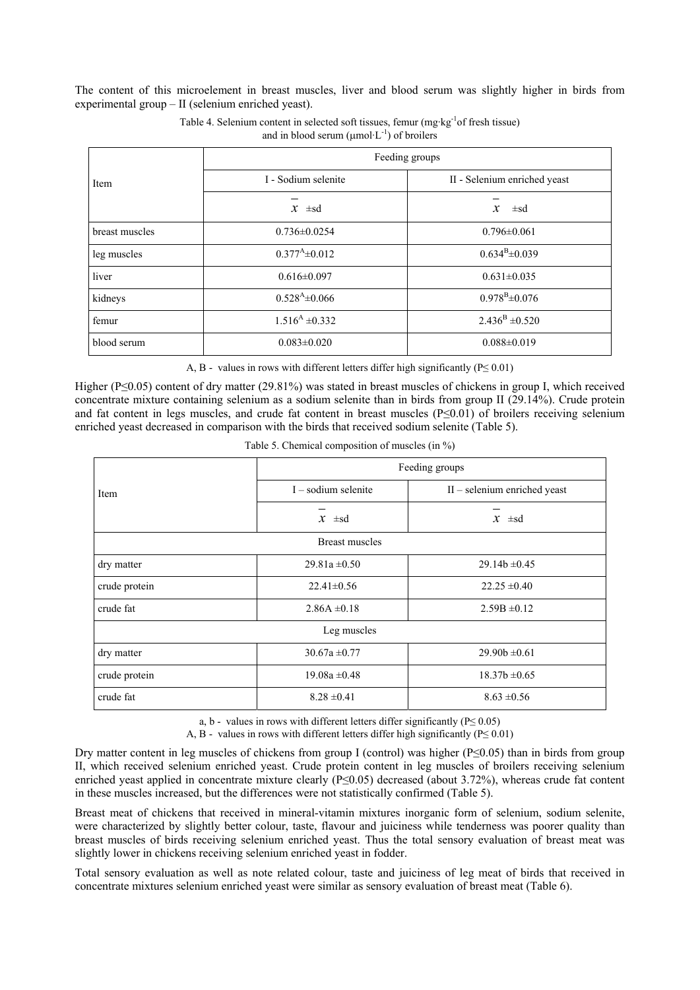The content of this microelement in breast muscles, liver and blood serum was slightly higher in birds from experimental group – II (selenium enriched yeast).

|                | Feeding groups                         |                              |  |
|----------------|----------------------------------------|------------------------------|--|
| Item           | I - Sodium selenite                    | II - Selenium enriched yeast |  |
|                | $x \pm sd$                             | $\mathfrak{X}$<br>$\pm$ sd   |  |
| breast muscles | $0.736 \pm 0.0254$                     | $0.796 \pm 0.061$            |  |
| leg muscles    | $0.377^{\mathrm{A}}\pm 0.012$          | $0.634^{B} \pm 0.039$        |  |
| liver          | $0.616 \pm 0.097$                      | $0.631 \pm 0.035$            |  |
| kidneys        | $0.528^{A} \pm 0.066$                  | $0.978^{\rm B} \pm 0.076$    |  |
| femur          | $1.516A \pm 0.332$                     | $2.436^{\rm B} \pm 0.520$    |  |
| blood serum    | $0.083 \pm 0.020$<br>$0.088 \pm 0.019$ |                              |  |

Table 4. Selenium content in selected soft tissues, femur (mg·kg-1of fresh tissue) and in blood serum ( $\mu$ mol·L<sup>-1</sup>) of broilers

A, B - values in rows with different letters differ high significantly ( $P \le 0.01$ )

Higher (P≤0.05) content of dry matter (29.81%) was stated in breast muscles of chickens in group I, which received concentrate mixture containing selenium as a sodium selenite than in birds from group II (29.14%). Crude protein and fat content in legs muscles, and crude fat content in breast muscles  $(P \le 0.01)$  of broilers receiving selenium enriched yeast decreased in comparison with the birds that received sodium selenite (Table 5).

| Table 5. Chemical composition of muscles (in $\%$ ) |  |  |  |  |  |  |
|-----------------------------------------------------|--|--|--|--|--|--|
|-----------------------------------------------------|--|--|--|--|--|--|

|                       | Feeding groups        |                                |  |  |  |
|-----------------------|-----------------------|--------------------------------|--|--|--|
| Item                  | $I -$ sodium selenite | $II$ – selenium enriched yeast |  |  |  |
|                       | $x \pm sd$            | $x \pm sd$                     |  |  |  |
| <b>Breast muscles</b> |                       |                                |  |  |  |
| dry matter            | $29.81a \pm 0.50$     | $29.14b \pm 0.45$              |  |  |  |
| crude protein         | $22.41 \pm 0.56$      | $22.25 \pm 0.40$               |  |  |  |
| crude fat             | $2.86A \pm 0.18$      | $2.59B \pm 0.12$               |  |  |  |
| Leg muscles           |                       |                                |  |  |  |
| dry matter            | $30.67a \pm 0.77$     | $29.90b \pm 0.61$              |  |  |  |
| crude protein         | $19.08a \pm 0.48$     | $18.37b \pm 0.65$              |  |  |  |
| crude fat             | $8.28 \pm 0.41$       | $8.63 \pm 0.56$                |  |  |  |

a, b - values in rows with different letters differ significantly ( $P \le 0.05$ )

A, B - values in rows with different letters differ high significantly ( $P \le 0.01$ )

Dry matter content in leg muscles of chickens from group I (control) was higher (P≤0.05) than in birds from group II, which received selenium enriched yeast. Crude protein content in leg muscles of broilers receiving selenium enriched yeast applied in concentrate mixture clearly (P≤0.05) decreased (about 3.72%), whereas crude fat content in these muscles increased, but the differences were not statistically confirmed (Table 5).

Breast meat of chickens that received in mineral-vitamin mixtures inorganic form of selenium, sodium selenite, were characterized by slightly better colour, taste, flavour and juiciness while tenderness was poorer quality than breast muscles of birds receiving selenium enriched yeast. Thus the total sensory evaluation of breast meat was slightly lower in chickens receiving selenium enriched yeast in fodder.

Total sensory evaluation as well as note related colour, taste and juiciness of leg meat of birds that received in concentrate mixtures selenium enriched yeast were similar as sensory evaluation of breast meat (Table 6).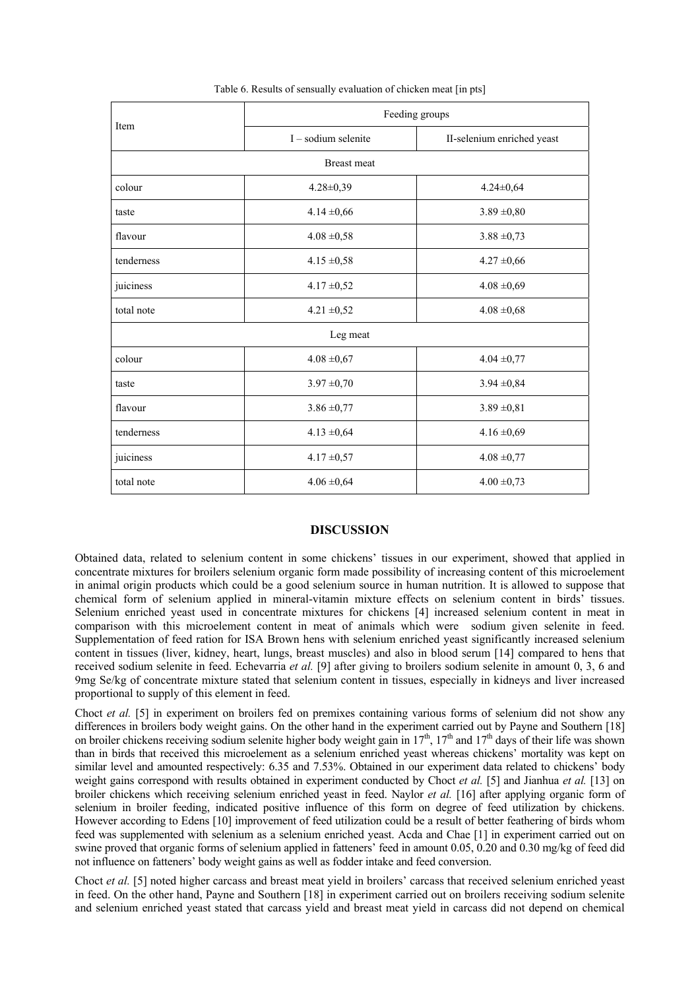| Item               | Feeding groups        |                            |  |  |
|--------------------|-----------------------|----------------------------|--|--|
|                    | $I - sodium$ selenite | II-selenium enriched yeast |  |  |
| <b>Breast</b> meat |                       |                            |  |  |
| colour             | $4.28 \pm 0.39$       | $4.24 \pm 0.64$            |  |  |
| taste              | $4.14 \pm 0.66$       | $3.89 \pm 0.80$            |  |  |
| flavour            | $4.08 \pm 0.58$       | $3.88 \pm 0.73$            |  |  |
| tenderness         | $4.15 \pm 0.58$       | $4.27 \pm 0.66$            |  |  |
| juiciness          | $4.17 \pm 0.52$       | $4.08 \pm 0.69$            |  |  |
| total note         | $4.21 \pm 0.52$       | $4.08 \pm 0.68$            |  |  |
| Leg meat           |                       |                            |  |  |
| colour             | $4.08 \pm 0.67$       | $4.04 \pm 0.77$            |  |  |
| taste              | $3.97 \pm 0.70$       | $3.94 \pm 0.84$            |  |  |
| flavour            | $3.86 \pm 0.77$       | $3.89 \pm 0.81$            |  |  |
| tenderness         | $4.13 \pm 0.64$       | $4.16 \pm 0.69$            |  |  |
| juiciness          | $4.17 \pm 0.57$       | $4.08 \pm 0.77$            |  |  |
| total note         | $4.06 \pm 0.64$       | $4.00 \pm 0.73$            |  |  |

Table 6. Results of sensually evaluation of chicken meat [in pts]

#### **DISCUSSION**

Obtained data, related to selenium content in some chickens' tissues in our experiment, showed that applied in concentrate mixtures for broilers selenium organic form made possibility of increasing content of this microelement in animal origin products which could be a good selenium source in human nutrition. It is allowed to suppose that chemical form of selenium applied in mineral-vitamin mixture effects on selenium content in birds' tissues. Selenium enriched yeast used in concentrate mixtures for chickens [4] increased selenium content in meat in comparison with this microelement content in meat of animals which were sodium given selenite in feed. Supplementation of feed ration for ISA Brown hens with selenium enriched yeast significantly increased selenium content in tissues (liver, kidney, heart, lungs, breast muscles) and also in blood serum [14] compared to hens that received sodium selenite in feed. Echevarria *et al.* [9] after giving to broilers sodium selenite in amount 0, 3, 6 and 9mg Se/kg of concentrate mixture stated that selenium content in tissues, especially in kidneys and liver increased proportional to supply of this element in feed.

Choct *et al.* [5] in experiment on broilers fed on premixes containing various forms of selenium did not show any differences in broilers body weight gains. On the other hand in the experiment carried out by Payne and Southern [18] on broiler chickens receiving sodium selenite higher body weight gain in  $17<sup>th</sup>$ ,  $17<sup>th</sup>$  and  $17<sup>th</sup>$  days of their life was shown than in birds that received this microelement as a selenium enriched yeast whereas chickens' mortality was kept on similar level and amounted respectively: 6.35 and 7.53%. Obtained in our experiment data related to chickens' body weight gains correspond with results obtained in experiment conducted by Choct *et al.* [5] and Jianhua *et al.* [13] on broiler chickens which receiving selenium enriched yeast in feed. Naylor *et al.* [16] after applying organic form of selenium in broiler feeding, indicated positive influence of this form on degree of feed utilization by chickens. However according to Edens [10] improvement of feed utilization could be a result of better feathering of birds whom feed was supplemented with selenium as a selenium enriched yeast. Acda and Chae [1] in experiment carried out on swine proved that organic forms of selenium applied in fatteners' feed in amount 0.05, 0.20 and 0.30 mg/kg of feed did not influence on fatteners' body weight gains as well as fodder intake and feed conversion.

Choct *et al.* [5] noted higher carcass and breast meat yield in broilers' carcass that received selenium enriched yeast in feed. On the other hand, Payne and Southern [18] in experiment carried out on broilers receiving sodium selenite and selenium enriched yeast stated that carcass yield and breast meat yield in carcass did not depend on chemical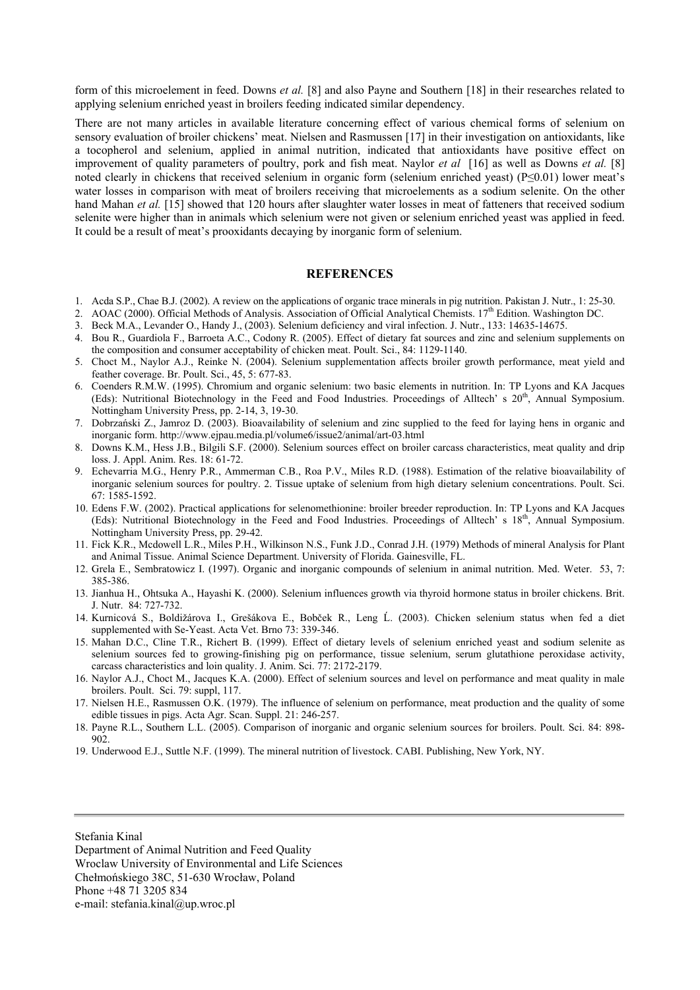form of this microelement in feed. Downs *et al.* [8] and also Payne and Southern [18] in their researches related to applying selenium enriched yeast in broilers feeding indicated similar dependency.

There are not many articles in available literature concerning effect of various chemical forms of selenium on sensory evaluation of broiler chickens' meat. Nielsen and Rasmussen [17] in their investigation on antioxidants, like a tocopherol and selenium, applied in animal nutrition, indicated that antioxidants have positive effect on improvement of quality parameters of poultry, pork and fish meat. Naylor *et al* [16] as well as Downs *et al.* [8] noted clearly in chickens that received selenium in organic form (selenium enriched yeast) (P≤0.01) lower meat's water losses in comparison with meat of broilers receiving that microelements as a sodium selenite. On the other hand Mahan *et al.* [15] showed that 120 hours after slaughter water losses in meat of fatteners that received sodium selenite were higher than in animals which selenium were not given or selenium enriched yeast was applied in feed. It could be a result of meat's prooxidants decaying by inorganic form of selenium.

#### **REFERENCES**

- 1. Acda S.P., Chae B.J. (2002). A review on the applications of organic trace minerals in pig nutrition. Pakistan J. Nutr., 1: 25-30.
- 2. AOAC (2000). Official Methods of Analysis. Association of Official Analytical Chemists.  $17<sup>th</sup>$  Edition. Washington DC.
- 3. Beck M.A., Levander O., Handy J., (2003). Selenium deficiency and viral infection. J. Nutr., 133: 14635-14675.
- 4. Bou R., Guardiola F., Barroeta A.C., Codony R. (2005). Effect of dietary fat sources and zinc and selenium supplements on the composition and consumer acceptability of chicken meat. Poult. Sci., 84: 1129-1140.
- 5. Choct M., Naylor A.J., Reinke N. (2004). Selenium supplementation affects broiler growth performance, meat yield and feather coverage. Br. Poult. Sci., 45, 5: 677-83.
- 6. Coenders R.M.W. (1995). Chromium and organic selenium: two basic elements in nutrition. In: TP Lyons and KA Jacques (Eds): Nutritional Biotechnology in the Feed and Food Industries. Proceedings of Alltech' s 20th, Annual Symposium. Nottingham University Press, pp. 2-14, 3, 19-30.
- 7. Dobrzański Z., Jamroz D. (2003). Bioavailability of selenium and zinc supplied to the feed for laying hens in organic and inorganic form. http://www.ejpau.media.pl/volume6/issue2/animal/art-03.html
- 8. Downs K.M., Hess J.B., Bilgili S.F. (2000). Selenium sources effect on broiler carcass characteristics, meat quality and drip loss. J. Appl. Anim. Res. 18: 61-72.
- 9. Echevarria M.G., Henry P.R., Ammerman C.B., Roa P.V., Miles R.D. (1988). Estimation of the relative bioavailability of inorganic selenium sources for poultry. 2. Tissue uptake of selenium from high dietary selenium concentrations. Poult. Sci. 67: 1585-1592.
- 10. Edens F.W. (2002). Practical applications for selenomethionine: broiler breeder reproduction. In: TP Lyons and KA Jacques (Eds): Nutritional Biotechnology in the Feed and Food Industries. Proceedings of Alltech' s 18th, Annual Symposium. Nottingham University Press, pp. 29-42.
- 11. Fick K.R., Mcdowell L.R., Miles P.H., Wilkinson N.S., Funk J.D., Conrad J.H. (1979) Methods of mineral Analysis for Plant and Animal Tissue. Animal Science Department. University of Florida. Gainesville, FL.
- 12. Grela E., Sembratowicz I. (1997). Organic and inorganic compounds of selenium in animal nutrition. Med. Weter. 53, 7: 385-386.
- 13. Jianhua H., Ohtsuka A., Hayashi K. (2000). Selenium influences growth via thyroid hormone status in broiler chickens. Brit. J. Nutr. 84: 727-732.
- 14. Kurnicová S., Boldižárova I., Grešákova E., Bobček R., Leng Ĺ. (2003). Chicken selenium status when fed a diet supplemented with Se-Yeast. Acta Vet. Brno 73: 339-346.
- 15. Mahan D.C., Cline T.R., Richert B. (1999). Effect of dietary levels of selenium enriched yeast and sodium selenite as selenium sources fed to growing-finishing pig on performance, tissue selenium, serum glutathione peroxidase activity, carcass characteristics and loin quality. J. Anim. Sci. 77: 2172-2179.
- 16. Naylor A.J., Choct M., Jacques K.A. (2000). Effect of selenium sources and level on performance and meat quality in male broilers. Poult. Sci. 79: suppl, 117.
- 17. Nielsen H.E., Rasmussen O.K. (1979). The influence of selenium on performance, meat production and the quality of some edible tissues in pigs. Acta Agr. Scan. Suppl. 21: 246-257.
- 18. Payne R.L., Southern L.L. (2005). Comparison of inorganic and organic selenium sources for broilers. Poult. Sci. 84: 898- 902.
- 19. Underwood E.J., Suttle N.F. (1999). The mineral nutrition of livestock. CABI. Publishing, New York, NY.

Stefania Kinal

Department of Animal Nutrition and Feed Quality Wroclaw University of Environmental and Life Sciences Chełmońskiego 38C, 51-630 Wrocław, Poland Phone +48 71 3205 834 e-mail: stefania.kinal@up.wroc.pl